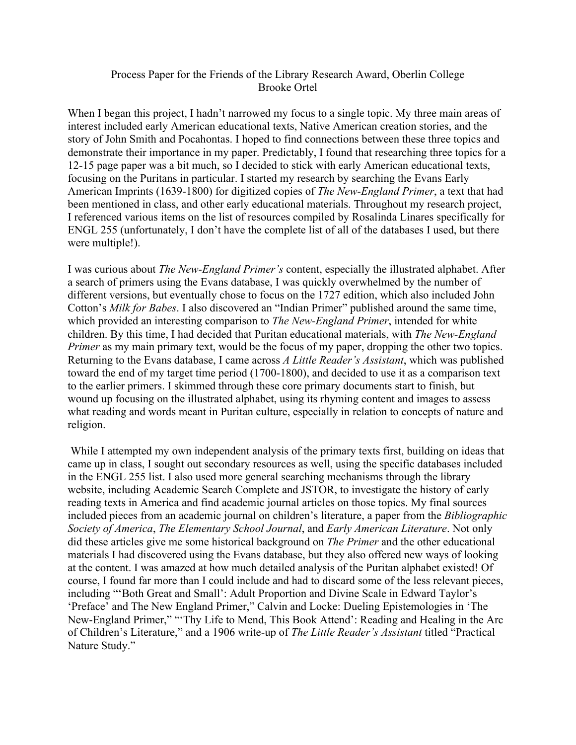## Process Paper for the Friends of the Library Research Award, Oberlin College Brooke Ortel

When I began this project, I hadn't narrowed my focus to a single topic. My three main areas of interest included early American educational texts, Native American creation stories, and the story of John Smith and Pocahontas. I hoped to find connections between these three topics and demonstrate their importance in my paper. Predictably, I found that researching three topics for a 12-15 page paper was a bit much, so I decided to stick with early American educational texts, focusing on the Puritans in particular. I started my research by searching the Evans Early American Imprints (1639-1800) for digitized copies of *The New-England Primer*, a text that had been mentioned in class, and other early educational materials. Throughout my research project, I referenced various items on the list of resources compiled by Rosalinda Linares specifically for ENGL 255 (unfortunately, I don't have the complete list of all of the databases I used, but there were multiple!).

I was curious about *The New-England Primer's* content, especially the illustrated alphabet. After a search of primers using the Evans database, I was quickly overwhelmed by the number of different versions, but eventually chose to focus on the 1727 edition, which also included John Cotton's *Milk for Babes*. I also discovered an "Indian Primer" published around the same time, which provided an interesting comparison to *The New-England Primer*, intended for white children. By this time, I had decided that Puritan educational materials, with *The New-England Primer* as my main primary text, would be the focus of my paper, dropping the other two topics. Returning to the Evans database, I came across *A Little Reader's Assistant*, which was published toward the end of my target time period (1700-1800), and decided to use it as a comparison text to the earlier primers. I skimmed through these core primary documents start to finish, but wound up focusing on the illustrated alphabet, using its rhyming content and images to assess what reading and words meant in Puritan culture, especially in relation to concepts of nature and religion.

While I attempted my own independent analysis of the primary texts first, building on ideas that came up in class, I sought out secondary resources as well, using the specific databases included in the ENGL 255 list. I also used more general searching mechanisms through the library website, including Academic Search Complete and JSTOR, to investigate the history of early reading texts in America and find academic journal articles on those topics. My final sources included pieces from an academic journal on children's literature, a paper from the *Bibliographic Society of America*, *The Elementary School Journal*, and *Early American Literature*. Not only did these articles give me some historical background on *The Primer* and the other educational materials I had discovered using the Evans database, but they also offered new ways of looking at the content. I was amazed at how much detailed analysis of the Puritan alphabet existed! Of course, I found far more than I could include and had to discard some of the less relevant pieces, including "'Both Great and Small': Adult Proportion and Divine Scale in Edward Taylor's 'Preface' and The New England Primer," Calvin and Locke: Dueling Epistemologies in 'The New-England Primer," "'Thy Life to Mend, This Book Attend': Reading and Healing in the Arc of Children's Literature," and a 1906 write-up of *The Little Reader's Assistant* titled "Practical Nature Study."